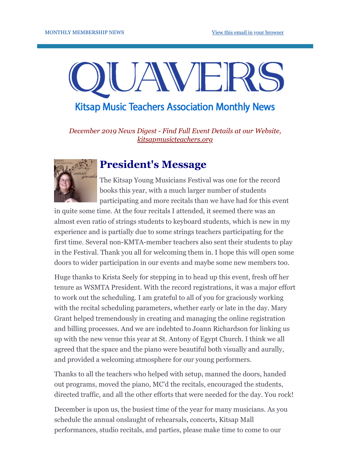# JAVE **Kitsap Music Teachers Association Monthly News**

*December 2019 News Digest - Find Full Event Details at our Website, [kitsapmusicteachers.org](http://www.kitsapmusicteachers.org/)*

### **President's Message**

The Kitsap Young Musicians Festival was one for the record books this year, with a much larger number of students participating and more recitals than we have had for this event

in quite some time. At the four recitals I attended, it seemed there was an almost even ratio of strings students to keyboard students, which is new in my experience and is partially due to some strings teachers participating for the first time. Several non-KMTA-member teachers also sent their students to play in the Festival. Thank you all for welcoming them in. I hope this will open some doors to wider participation in our events and maybe some new members too.

Huge thanks to Krista Seely for stepping in to head up this event, fresh off her tenure as WSMTA President. With the record registrations, it was a major effort to work out the scheduling. I am grateful to all of you for graciously working with the recital scheduling parameters, whether early or late in the day. Mary Grant helped tremendously in creating and managing the online registration and billing processes. And we are indebted to Joann Richardson for linking us up with the new venue this year at St. Antony of Egypt Church. I think we all agreed that the space and the piano were beautiful both visually and aurally, and provided a welcoming atmosphere for our young performers.

Thanks to all the teachers who helped with setup, manned the doors, handed out programs, moved the piano, MC'd the recitals, encouraged the students, directed traffic, and all the other efforts that were needed for the day. You rock!

December is upon us, the busiest time of the year for many musicians. As you schedule the annual onslaught of rehearsals, concerts, Kitsap Mall performances, studio recitals, and parties, please make time to come to our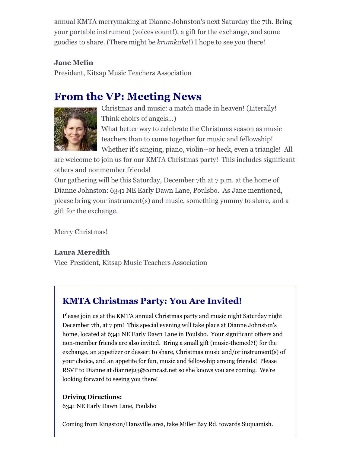annual KMTA merrymaking at Dianne Johnston's next Saturday the 7th. Bring your portable instrument (voices count!), a gift for the exchange, and some goodies to share. (There might be *krumkake*!) I hope to see you there!

### **Jane Melin**

President, Kitsap Music Teachers Association

### **From the VP: Meeting News**



Christmas and music: a match made in heaven! (Literally! Think choirs of angels...) What better way to celebrate the Christmas season as music

teachers than to come together for music and fellowship! Whether it's singing, piano, violin--or heck, even a triangle! All

are welcome to join us for our KMTA Christmas party! This includes significant others and nonmember friends!

Our gathering will be this Saturday, December 7th at 7 p.m. at the home of Dianne Johnston: 6341 NE Early Dawn Lane, Poulsbo. As Jane mentioned, please bring your instrument(s) and music, something yummy to share, and a gift for the exchange.

Merry Christmas!

### **Laura Meredith**

Vice-President, Kitsap Music Teachers Association

### **KMTA Christmas Party: You Are Invited!**

Please join us at the KMTA annual Christmas party and music night Saturday night December 7th, at 7 pm! This special evening will take place at Dianne Johnston's home, located at 6341 NE Early Dawn Lane in Poulsbo. Your significant others and non-member friends are also invited. Bring a small gift (music-themed?!) for the exchange, an appetizer or dessert to share, Christmas music and/or instrument(s) of your choice, and an appetite for fun, music and fellowship among friends! Please RSVP to Dianne at diannej23@comcast.net so she knows you are coming. We're looking forward to seeing you there!

#### **Driving Directions:**

6341 NE Early Dawn Lane, Poulsbo

Coming from Kingston/Hansville area, take Miller Bay Rd. towards Suquamish.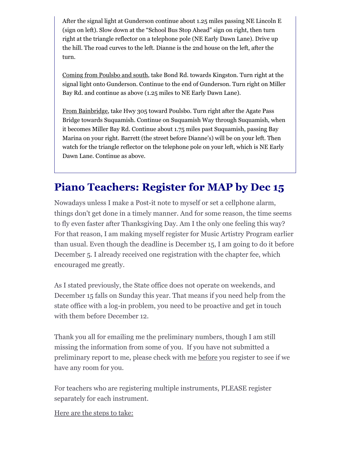After the signal light at Gunderson continue about 1.25 miles passing NE Lincoln E (sign on left). Slow down at the "School Bus Stop Ahead" sign on right, then turn right at the triangle reflector on a telephone pole (NE Early Dawn Lane). Drive up the hill. The road curves to the left. Dianne is the 2nd house on the left, after the turn.

Coming from Poulsbo and south, take Bond Rd. towards Kingston. Turn right at the signal light onto Gunderson. Continue to the end of Gunderson. Turn right on Miller Bay Rd. and continue as above (1.25 miles to NE Early Dawn Lane).

From Bainbridge, take Hwy 305 toward Poulsbo. Turn right after the Agate Pass Bridge towards Suquamish. Continue on Suquamish Way through Suquamish, when it becomes Miller Bay Rd. Continue about 1.75 miles past Suquamish, passing Bay Marina on your right. Barrett (the street before Dianne's) will be on your left. Then watch for the triangle reflector on the telephone pole on your left, which is NE Early Dawn Lane. Continue as above.

# **Piano Teachers: Register for MAP by Dec 15**

Nowadays unless I make a Post-it note to myself or set a cellphone alarm, things don't get done in a timely manner. And for some reason, the time seems to fly even faster after Thanksgiving Day. Am I the only one feeling this way? For that reason, I am making myself register for Music Artistry Program earlier than usual. Even though the deadline is December 15, I am going to do it before December 5. I already received one registration with the chapter fee, which encouraged me greatly.

As I stated previously, the State office does not operate on weekends, and December 15 falls on Sunday this year. That means if you need help from the state office with a log-in problem, you need to be proactive and get in touch with them before December 12.

Thank you all for emailing me the preliminary numbers, though I am still missing the information from some of you. If you have not submitted a preliminary report to me, please check with me before you register to see if we have any room for you.

For teachers who are registering multiple instruments, PLEASE register separately for each instrument.

Here are the steps to take: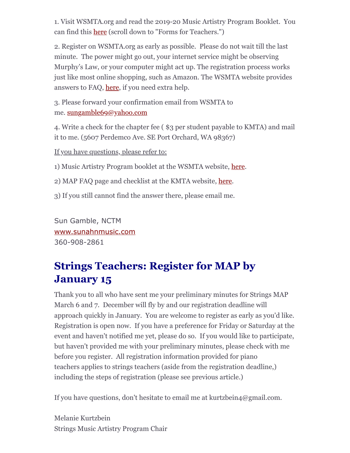1. Visit WSMTA.org and read the 2019-20 Music Artistry Program Booklet. You can find this [here](https://wsmta.org/programs-for-students/map/) (scroll down to "Forms for Teachers.")

2. Register on WSMTA.org as early as possible. Please do not wait till the last minute. The power might go out, your internet service might be observing Murphy's Law, or your computer might act up. The registration process works just like most online shopping, such as Amazon. The WSMTA website provides answers to FAQ, [here](https://wsmta.org/programs-for-students/map/), if you need extra help.

3. Please forward your confirmation email from WSMTA to me. [sungamble69@yahoo.com](mailto:sungamble69@yahoo.com)

4. Write a check for the chapter fee ( \$3 per student payable to KMTA) and mail it to me. (5607 Perdemco Ave. SE Port Orchard, WA 98367)

If you have questions, please refer to:

1) Music Artistry Program booklet at the WSMTA website, [here.](https://wsmta.org/programs-for-students/map/)

2) MAP FAQ page and checklist at the KMTA website, [here.](http://www.kitsapmusicteachers.org/map-faqs/)

3) If you still cannot find the answer there, please email me.

Sun Gamble, NCTM [www.sunahnmusic.com](http://www.sunahnmusic.com/) 360-908-2861

# **Strings Teachers: Register for MAP by January 15**

Thank you to all who have sent me your preliminary minutes for Strings MAP March 6 and 7. December will fly by and our registration deadline will approach quickly in January. You are welcome to register as early as you'd like. Registration is open now. If you have a preference for Friday or Saturday at the event and haven't notified me yet, please do so. If you would like to participate, but haven't provided me with your preliminary minutes, please check with me before you register. All registration information provided for piano teachers applies to strings teachers (aside from the registration deadline,) including the steps of registration (please see previous article.)

If you have questions, don't hesitate to email me at kurtzbein4@gmail.com.

Melanie Kurtzbein Strings Music Artistry Program Chair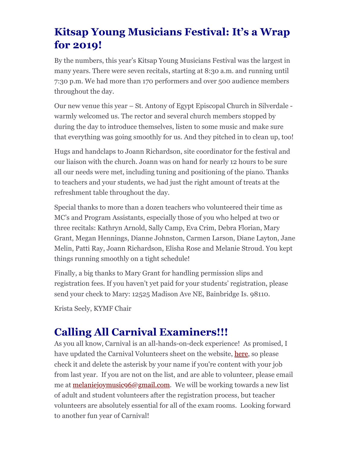# **Kitsap Young Musicians Festival: It's a Wrap for 2019!**

By the numbers, this year's Kitsap Young Musicians Festival was the largest in many years. There were seven recitals, starting at 8:30 a.m. and running until 7:30 p.m. We had more than 170 performers and over 500 audience members throughout the day.

Our new venue this year – St. Antony of Egypt Episcopal Church in Silverdale warmly welcomed us. The rector and several church members stopped by during the day to introduce themselves, listen to some music and make sure that everything was going smoothly for us. And they pitched in to clean up, too!

Hugs and handclaps to Joann Richardson, site coordinator for the festival and our liaison with the church. Joann was on hand for nearly 12 hours to be sure all our needs were met, including tuning and positioning of the piano. Thanks to teachers and your students, we had just the right amount of treats at the refreshment table throughout the day.

Special thanks to more than a dozen teachers who volunteered their time as MC's and Program Assistants, especially those of you who helped at two or three recitals: Kathryn Arnold, Sally Camp, Eva Crim, Debra Florian, Mary Grant, Megan Hennings, Dianne Johnston, Carmen Larson, Diane Layton, Jane Melin, Patti Ray, Joann Richardson, Elisha Rose and Melanie Stroud. You kept things running smoothly on a tight schedule!

Finally, a big thanks to Mary Grant for handling permission slips and registration fees. If you haven't yet paid for your students' registration, please send your check to Mary: 12525 Madison Ave NE, Bainbridge Is. 98110.

Krista Seely, KYMF Chair

# **Calling All Carnival Examiners!!!**

As you all know, Carnival is an all-hands-on-deck experience! As promised, I have updated the Carnival Volunteers sheet on the website, <u>here</u>, so please check it and delete the asterisk by your name if you're content with your job from last year. If you are not on the list, and are able to volunteer, please email me at **melaniejoymusic96@gmail.com**. We will be working towards a new list of adult and student volunteers after the registration process, but teacher volunteers are absolutely essential for all of the exam rooms. Looking forward to another fun year of Carnival!